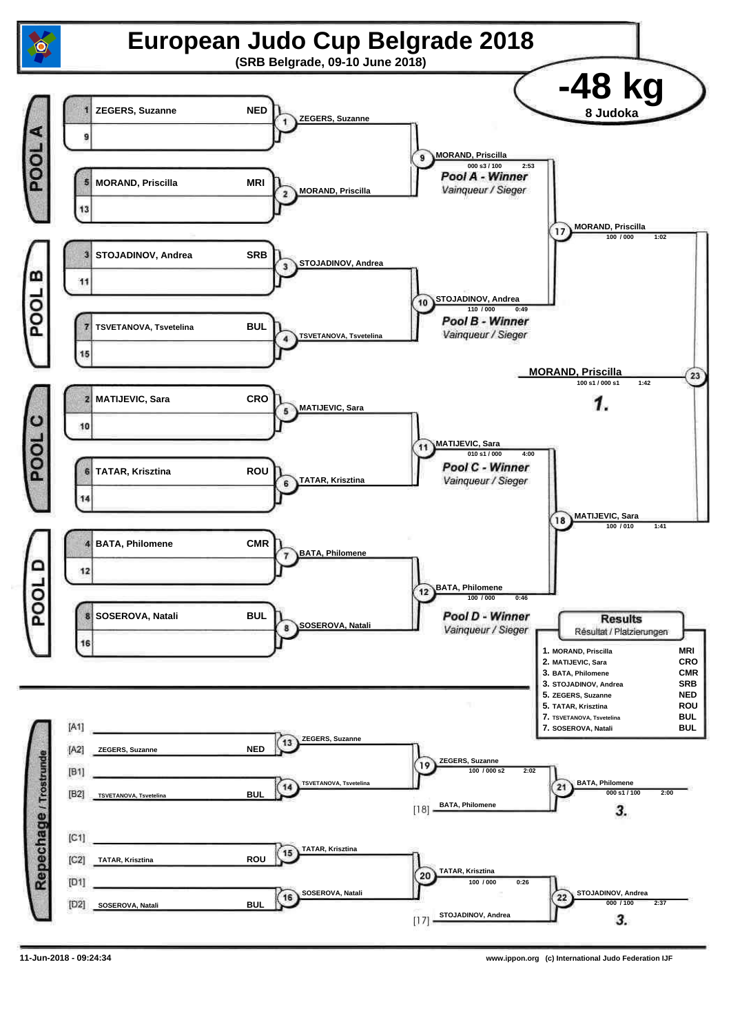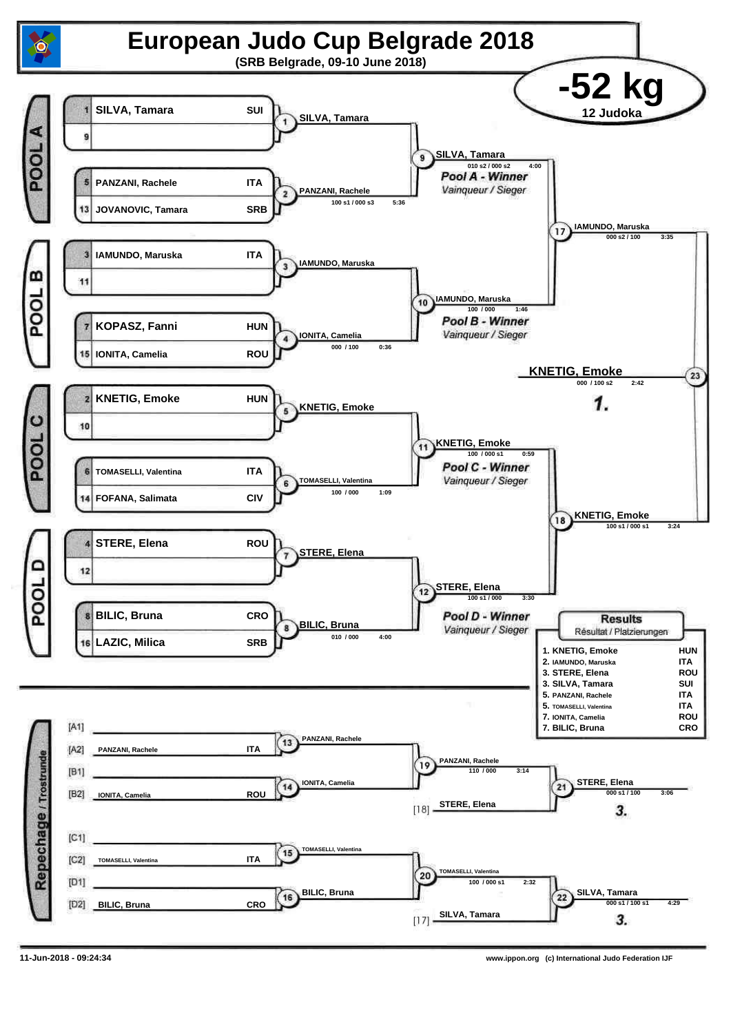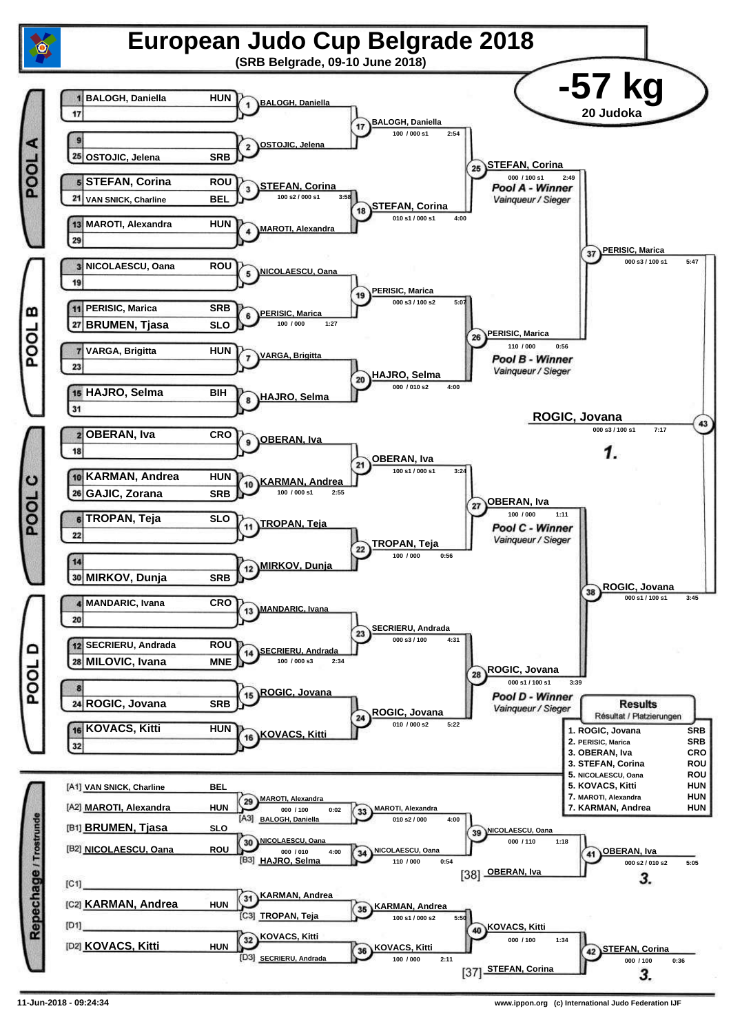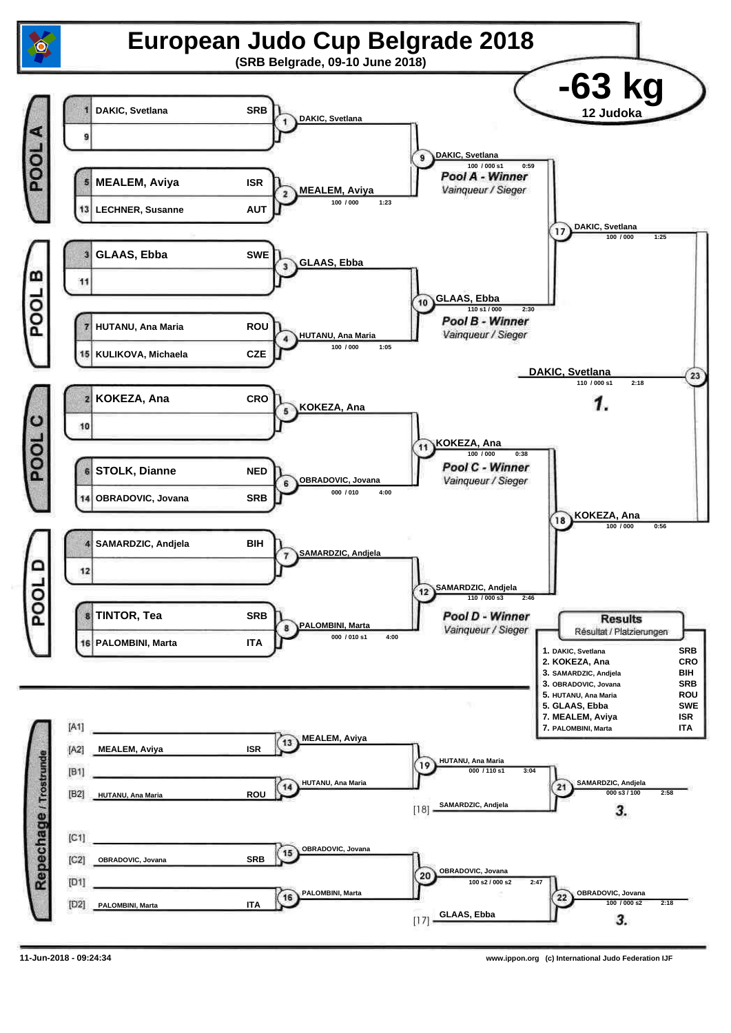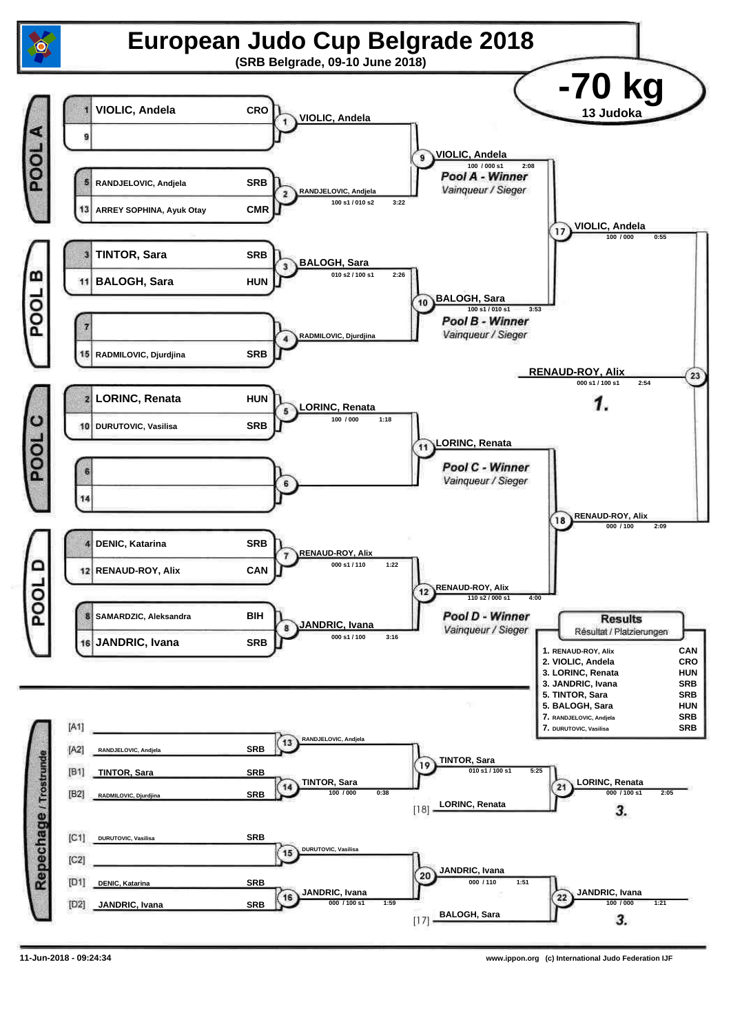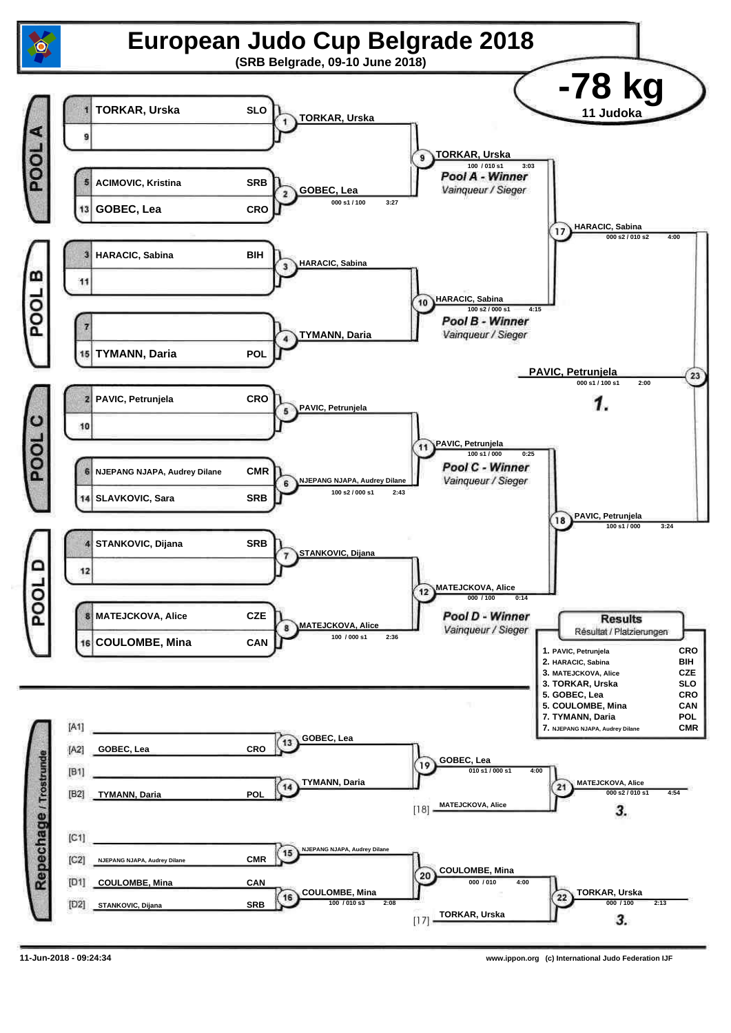